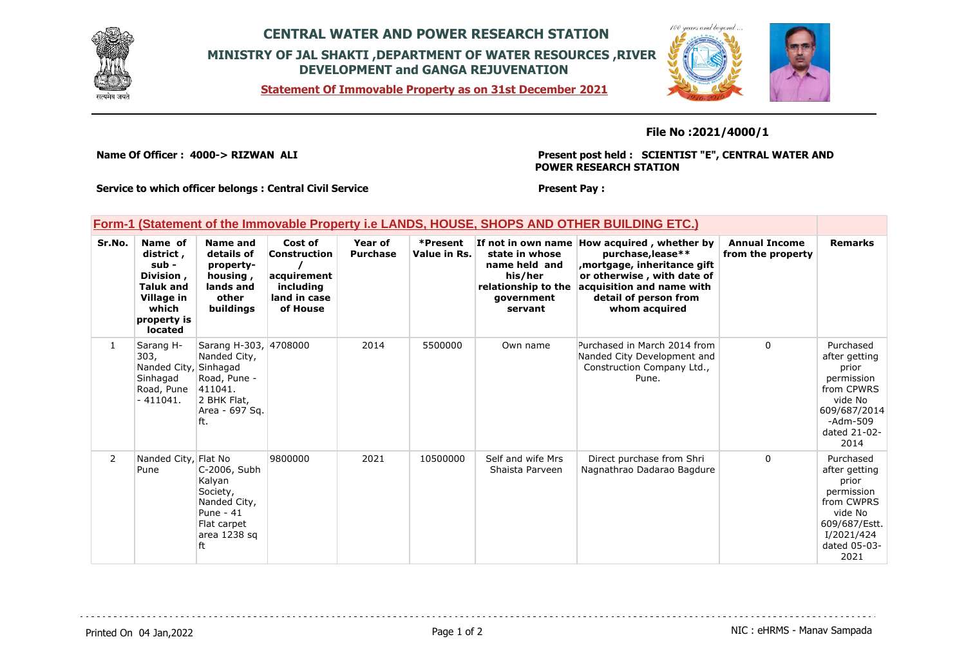

## **CENTRAL WATER AND POWER RESEARCH STATION MINISTRY OF JAL SHAKTI ,DEPARTMENT OF WATER RESOURCES ,RIVER DEVELOPMENT and GANGA REJUVENATION**

**Statement Of Immovable Property as on 31st December 2021**



**File No :2021/4000/1**

**Name Of Officer : 4000-> RIZWAN ALI** 

**Present post held : SCIENTIST "E", CENTRAL WATER AND POWER RESEARCH STATION**

**Service to which officer belongs : Central Civil Service**

### **Present Pay :**

### **Form-1 (Statement of the Immovable Property i.e LANDS, HOUSE, SHOPS AND OTHER BUILDING ETC.)**

| Sr.No.         | Name of<br>district,<br>sub -<br>Division,<br><b>Taluk and</b><br>Village in<br>which<br>property is<br>located | Name and<br>details of<br>property-<br>housing,<br>lands and<br>other<br>buildings                       | Cost of<br>Construction<br>acquirement<br>including<br>land in case<br>of House | <b>Year of</b><br><b>Purchase</b> | *Present<br>Value in Rs. | state in whose<br>name held and<br>his/her<br>relationship to the<br>government<br>servant | If not in own name How acquired, whether by<br>purchase, lease**<br>mortgage, inheritance gift,<br>or otherwise, with date of<br>acquisition and name with<br>detail of person from<br>whom acquired | <b>Annual Income</b><br>from the property | <b>Remarks</b>                                                                                                                    |
|----------------|-----------------------------------------------------------------------------------------------------------------|----------------------------------------------------------------------------------------------------------|---------------------------------------------------------------------------------|-----------------------------------|--------------------------|--------------------------------------------------------------------------------------------|------------------------------------------------------------------------------------------------------------------------------------------------------------------------------------------------------|-------------------------------------------|-----------------------------------------------------------------------------------------------------------------------------------|
| $\mathbf{1}$   | Sarang H-<br>303,<br>Nanded City, Sinhagad<br>Sinhagad<br>Road, Pune<br>$-411041.$                              | Sarang H-303, 4708000<br>Nanded City,<br>Road, Pune -<br>411041.<br>2 BHK Flat,<br>Area - 697 Sq.<br>ft. |                                                                                 | 2014                              | 5500000                  | Own name                                                                                   | Purchased in March 2014 from<br>Nanded City Development and<br>Construction Company Ltd.,<br>Pune.                                                                                                   | $\Omega$                                  | Purchased<br>after getting<br>prior<br>permission<br>from CPWRS<br>vide No<br>609/687/2014<br>-Adm-509<br>dated 21-02-<br>2014    |
| $\overline{2}$ | Nanded City, Flat No<br>Pune                                                                                    | C-2006, Subh<br>Kalyan<br>Society,<br>Nanded City,<br>Pune - 41<br>Flat carpet<br>area 1238 sq<br>ft     | 9800000                                                                         | 2021                              | 10500000                 | Self and wife Mrs<br>Shaista Parveen                                                       | Direct purchase from Shri<br>Nagnathrao Dadarao Bagdure                                                                                                                                              | $\Omega$                                  | Purchased<br>after getting<br>prior<br>permission<br>from CWPRS<br>vide No<br>609/687/Estt.<br>I/2021/424<br>dated 05-03-<br>2021 |

Printed On 04 Jan, 2022 2001 12:00 Page 1 of 2 Page 1 of 2 NIC : eHRMS - Manav Sampada